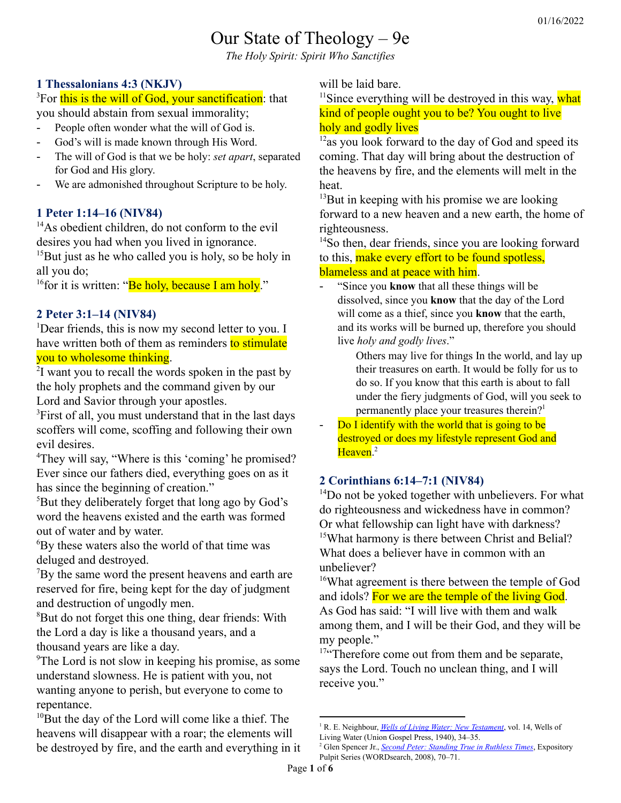# Our State of Theology – 9e

*The Holy Spirit: Spirit Who Sanctifies*

## **1 Thessalonians 4:3 (NKJV)**

<sup>3</sup>For this is the will of God, your sanctification: that you should abstain from sexual immorality;

- People often wonder what the will of God is.
- God's will is made known through His Word.
- The will of God is that we be holy: *set apart*, separated for God and His glory.
- We are admonished throughout Scripture to be holy.

## **1 Peter 1:14–16 (NIV84)**

<sup>14</sup>As obedient children, do not conform to the evil desires you had when you lived in ignorance.

 $15$ But just as he who called you is holy, so be holy in all you do;

<sup>16</sup> for it is written: "Be holy, because I am holy."

## **2 Peter 3:1–14 (NIV84)**

<sup>1</sup>Dear friends, this is now my second letter to you. I have written both of them as reminders to stimulate you to wholesome thinking.

<sup>2</sup>I want you to recall the words spoken in the past by the holy prophets and the command given by our Lord and Savior through your apostles.

<sup>3</sup>First of all, you must understand that in the last days scoffers will come, scoffing and following their own evil desires.

<sup>4</sup>They will say, "Where is this 'coming' he promised? Ever since our fathers died, everything goes on as it has since the beginning of creation."

<sup>5</sup>But they deliberately forget that long ago by God's word the heavens existed and the earth was formed out of water and by water.

<sup>6</sup>By these waters also the world of that time was deluged and destroyed.

 $7By$  the same word the present heavens and earth are reserved for fire, being kept for the day of judgment and destruction of ungodly men.

<sup>8</sup>But do not forget this one thing, dear friends: With the Lord a day is like a thousand years, and a thousand years are like a day.

<sup>9</sup>The Lord is not slow in keeping his promise, as some understand slowness. He is patient with you, not wanting anyone to perish, but everyone to come to repentance.

 $10B$ ut the day of the Lord will come like a thief. The heavens will disappear with a roar; the elements will be destroyed by fire, and the earth and everything in it will be laid bare.

 $11$ Since everything will be destroyed in this way, what kind of people ought you to be? You ought to live holy and godly lives

 $12$ as you look forward to the day of God and speed its coming. That day will bring about the destruction of the heavens by fire, and the elements will melt in the heat.

 $13$ But in keeping with his promise we are looking forward to a new heaven and a new earth, the home of righteousness.

<sup>14</sup>So then, dear friends, since you are looking forward to this, make every effort to be found spotless, blameless and at peace with him.

- "Since you **know** that all these things will be dissolved, since you **know** that the day of the Lord will come as a thief, since you **know** that the earth, and its works will be burned up, therefore you should live *holy and godly lives*."

> Others may live for things In the world, and lay up their treasures on earth. It would be folly for us to do so. If you know that this earth is about to fall under the fiery judgments of God, will you seek to permanently place your treasures therein? 1

Do I identify with the world that is going to be destroyed or does my lifestyle represent God and Heaven.<sup>2</sup>

## **2 Corinthians 6:14–7:1 (NIV84)**

<sup>14</sup>Do not be yoked together with unbelievers. For what do righteousness and wickedness have in common? Or what fellowship can light have with darkness? <sup>15</sup>What harmony is there between Christ and Belial? What does a believer have in common with an unbeliever?

<sup>16</sup>What agreement is there between the temple of God and idols? For we are the temple of the living God. As God has said: "I will live with them and walk among them, and I will be their God, and they will be my people."

<sup>17"</sup>Therefore come out from them and be separate, says the Lord. Touch no unclean thing, and I will receive you."

<sup>1</sup> R. E. Neighbour, *Wells of Living Water: New [Testament](https://ref.ly/logosres/ws-welivewaternt?ref=Bible.2Pe3.11&off=446&ctx=t%2c+Peter+is+saying%2c+~%E2%80%9CSince+you+know+that)*, vol. 14, Wells of

Living Water (Union Gospel Press, 1940), 34–35.

<sup>2</sup> Glen Spencer Jr., *Second Peter: [Standing](https://ref.ly/logosres/ws-fa70dd8c9e4b4b8395169dc8f7018ae7?ref=Bible.2Pe3.11&off=1031&ctx=sider+my+lifestyle.+~Do+I+identify+with+t) True in Ruthless Times*, Expository Pulpit Series (WORDsearch, 2008), 70–71.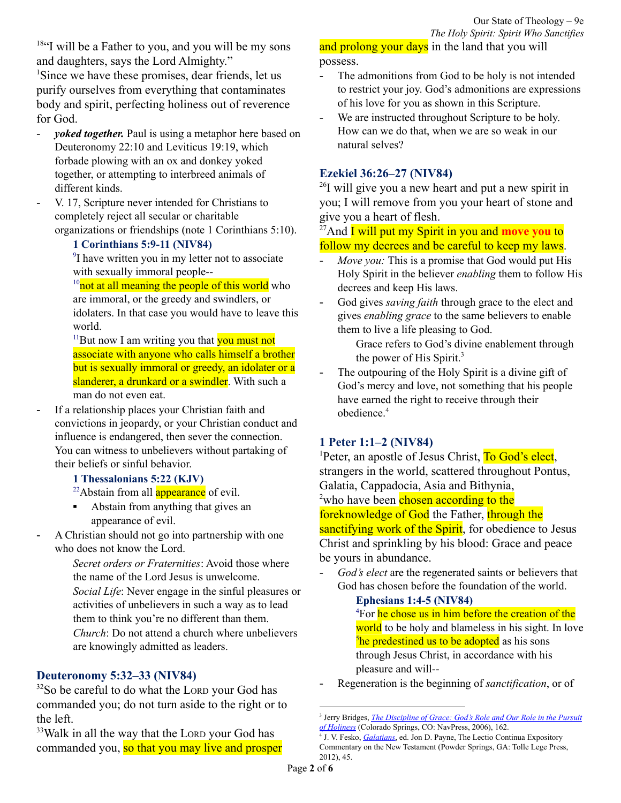$18$ "I will be a Father to you, and you will be my sons and daughters, says the Lord Almighty." <sup>1</sup>Since we have these promises, dear friends, let us purify ourselves from everything that contaminates body and spirit, perfecting holiness out of reverence for God.

- *yoked together.* Paul is using a metaphor here based on Deuteronomy 22:10 and Leviticus 19:19, which forbade plowing with an ox and donkey yoked together, or attempting to interbreed animals of different kinds.
- V. 17, Scripture never intended for Christians to completely reject all secular or charitable organizations or friendships (note 1 Corinthians 5:10).

#### **1 Corinthians 5:9-11 (NIV84)**

<sup>9</sup>I have written you in my letter not to associate with sexually immoral people--

 $10<sub>not</sub>$  at all meaning the people of this world who are immoral, or the greedy and swindlers, or idolaters. In that case you would have to leave this world.

 $11$ But now I am writing you that **you must not** associate with anyone who calls himself a brother but is sexually immoral or greedy, an idolater or a slanderer, a drunkard or a swindler. With such a man do not even eat.

- If a relationship places your Christian faith and convictions in jeopardy, or your Christian conduct and influence is endangered, then sever the connection. You can witness to unbelievers without partaking of their beliefs or sinful behavior.
	- **1 Thessalonians 5:22 (KJV)**

<sup>22</sup>Abstain from all **appearance** of evil.

- Abstain from anything that gives an appearance of evil.
- A Christian should not go into partnership with one who does not know the Lord.

*Secret orders or Fraternities*: Avoid those where the name of the Lord Jesus is unwelcome.

*Social Life*: Never engage in the sinful pleasures or activities of unbelievers in such a way as to lead them to think you're no different than them.

*Church*: Do not attend a church where unbelievers are knowingly admitted as leaders.

#### **Deuteronomy 5:32–33 (NIV84)**

<sup>32</sup>So be careful to do what the LORD your God has commanded you; do not turn aside to the right or to the left.

<sup>33</sup>Walk in all the way that the LORD your God has commanded you, so that you may live and prosper and prolong your days in the land that you will possess.

- The admonitions from God to be holy is not intended to restrict your joy. God's admonitions are expressions of his love for you as shown in this Scripture.
- We are instructed throughout Scripture to be holy. How can we do that, when we are so weak in our natural selves?

### **Ezekiel 36:26–27 (NIV84)**

<sup>26</sup>I will give you a new heart and put a new spirit in you; I will remove from you your heart of stone and give you a heart of flesh.

<sup>27</sup>And **I** will put my Spirit in you and **move you** to follow my decrees and be careful to keep my laws.

- *Move you:* This is a promise that God would put His Holy Spirit in the believer *enabling* them to follow His decrees and keep His laws.
- God gives *saving faith* through grace to the elect and gives *enabling grace* to the same believers to enable them to live a life pleasing to God.

Grace refers to God's divine enablement through the power of His Spirit. 3

The outpouring of the Holy Spirit is a divine gift of God's mercy and love, not something that his people have earned the right to receive through their obedience. 4

#### **1 Peter 1:1–2 (NIV84)**

<sup>1</sup>Peter, an apostle of Jesus Christ, To God's elect, strangers in the world, scattered throughout Pontus, Galatia, Cappadocia, Asia and Bithynia, <sup>2</sup>who have been chosen according to the foreknowledge of God the Father, through the sanctifying work of the Spirit, for obedience to Jesus Christ and sprinkling by his blood: Grace and peace be yours in abundance.

- *God's elect* are the regenerated saints or believers that God has chosen before the foundation of the world.

> **Ephesians 1:4-5 (NIV84)** <sup>4</sup>For he chose us in him before the creation of the world to be holy and blameless in his sight. In love <sup>5</sup>he predestined us to be adopted as his sons through Jesus Christ, in accordance with his pleasure and will--

- Regeneration is the beginning of *sanctification*, or of

<sup>3</sup> Jerry Bridges, *The [Discipline](https://ref.ly/logosres/discplngrace?ref=Page.p+162&off=1210&ctx=nd+gives+me+wings.%E2%80%9D%0a~Grace%2c+of+course%2c+as) of Grace: God's Role and Our Role in the Pursuit of [Holiness](https://ref.ly/logosres/discplngrace?ref=Page.p+162&off=1210&ctx=nd+gives+me+wings.%E2%80%9D%0a~Grace%2c+of+course%2c+as)* (Colorado Springs, CO: NavPress, 2006), 162.

<sup>4</sup> J. V. Fesko, *[Galatians](https://ref.ly/logosres/lctcont69ga?ref=Bible.Ga3.1-5&off=6980&ctx=ple%E2%80%99s+disobedience.+~The+outpouring+of+th)*, ed. Jon D. Payne, The Lectio Continua Expository Commentary on the New Testament (Powder Springs, GA: Tolle Lege Press, 2012), 45.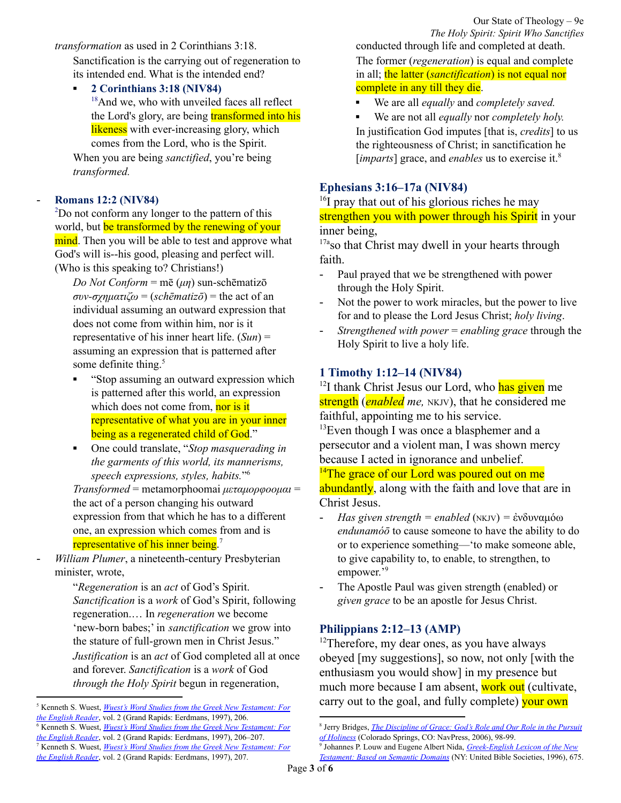*transformation* as used in 2 Corinthians 3:18.

Sanctification is the carrying out of regeneration to its intended end. What is the intended end?

▪ **2 Corinthians 3:18 (NIV84)** <sup>18</sup>And we, who with unveiled faces all reflect the Lord's glory, are being **transformed into his** likeness with ever-increasing glory, which comes from the Lord, who is the Spirit.

When you are being *sanctified*, you're being *transformed.*

#### - **Romans 12:2 (NIV84)**

<sup>2</sup>Do not conform any longer to the pattern of this world, but be transformed by the renewing of your mind. Then you will be able to test and approve what God's will is--his good, pleasing and perfect will. (Who is this speaking to? Christians!)

*Do Not Conform* = mē (*μη*) sun-schēmatizō *συν-σχηματιζω* = (*schēmatizō*) = the act of an individual assuming an outward expression that does not come from within him, nor is it representative of his inner heart life. (*Sun*) = assuming an expression that is patterned after some definite thing.<sup>5</sup>

- "Stop assuming an outward expression which is patterned after this world, an expression which does not come from, nor is it representative of what you are in your inner being as a regenerated child of God."
- One could translate, "*Stop masquerading in the garments of this world, its mannerisms, speech expressions, styles, habits.*" 6

*Transformed* = metamorphoomai *μεταμορφοομαι* = the act of a person changing his outward expression from that which he has to a different one, an expression which comes from and is representative of his inner being.<sup>7</sup>

- *William Plumer*, a nineteenth-century Presbyterian minister, wrote,

"*Regeneration* is an *act* of God's Spirit. *Sanctification* is a *work* of God's Spirit, following regeneration.… In *regeneration* we become 'new-born babes;' in *sanctification* we grow into the stature of full-grown men in Christ Jesus." *Justification* is an *act* of God completed all at once and forever. *Sanctification* is a *work* of God *through the Holy Spirit* begun in regeneration,

Our State of Theology – 9e *The Holy Spirit: Spirit Who Sanctifies* conducted through life and completed at death. The former (*regeneration*) is equal and complete in all; the latter (*sanctification*) is not equal nor

#### complete in any till they die.

- We are all *equally* and *completely saved.*
- We are not all *equally* nor *completely holy*. In justification God imputes [that is, *credits*] to us the righteousness of Christ; in sanctification he [*imparts*] grace, and *enables* us to exercise it.<sup>8</sup>

## **Ephesians 3:16–17a (NIV84)**

<sup>16</sup>I pray that out of his glorious riches he may strengthen you with power through his Spirit in your inner being,

<sup>17a</sup>so that Christ may dwell in your hearts through faith.

- Paul prayed that we be strengthened with power through the Holy Spirit.
- Not the power to work miracles, but the power to live for and to please the Lord Jesus Christ; *holy living*.
- *Strengthened with power* = *enabling grace* through the Holy Spirit to live a holy life.

### **1 Timothy 1:12–14 (NIV84)**

<sup>12</sup>I thank Christ Jesus our Lord, who has given me strength (*enabled me,* NKJV), that he considered me faithful, appointing me to his service.

 $13$ Even though I was once a blasphemer and a persecutor and a violent man, I was shown mercy because I acted in ignorance and unbelief.

 $14$ The grace of our Lord was poured out on me

abundantly, along with the faith and love that are in Christ Jesus.

- *Has given strength = enabled* (NKJV) *=* ἐνδυναμόω *endunamóō* to cause someone to have the ability to do or to experience something—'to make someone able, to give capability to, to enable, to strengthen, to empower.'<sup>9</sup>
- The Apostle Paul was given strength (enabled) or *given grace* to be an apostle for Jesus Christ.

#### **Philippians 2:12–13 (AMP)**

 $12$ Therefore, my dear ones, as you have always obeyed [my suggestions], so now, not only [with the enthusiasm you would show] in my presence but much more because I am absent, work out (cultivate, carry out to the goal, and fully complete) your own

<sup>7</sup> Kenneth S. Wuest, *Wuest's Word Studies from the Greek New [Testament:](https://ref.ly/logosres/wuest?ref=Bible.Ro12.2&off=2067&ctx=%CE%B9)%2c+which+speaks+of+~the+act+of+a+person+) For the [English](https://ref.ly/logosres/wuest?ref=Bible.Ro12.2&off=2067&ctx=%CE%B9)%2c+which+speaks+of+~the+act+of+a+person+) Reader*, vol. 2 (Grand Rapids: Eerdmans, 1997), 207. <sup>6</sup> Kenneth S. Wuest, *Wuest's Word Studies from the Greek New [Testament:](https://ref.ly/logosres/wuest?ref=Bible.Ro12.2&off=536&ctx=exhorts+the+saints%2c+~%E2%80%9CStop+assuming+an+ou) For the [English](https://ref.ly/logosres/wuest?ref=Bible.Ro12.2&off=536&ctx=exhorts+the+saints%2c+~%E2%80%9CStop+assuming+an+ou) Reader*, vol. 2 (Grand Rapids: Eerdmans, 1997), 206–207. <sup>5</sup> Kenneth S. Wuest, *Wuest's Word Studies from the Greek New [Testament:](https://ref.ly/logosres/wuest?ref=Bible.Ro12.2&off=88&ctx=%CF%87%CE%B7%CE%BC%CE%B1%CF%84%CE%B9%CE%B6%CF%89)+refers+to+~the+act+of+an+indivi) For the [English](https://ref.ly/logosres/wuest?ref=Bible.Ro12.2&off=88&ctx=%CF%87%CE%B7%CE%BC%CE%B1%CF%84%CE%B9%CE%B6%CF%89)+refers+to+~the+act+of+an+indivi) Reader*, vol. 2 (Grand Rapids: Eerdmans, 1997), 206.

<sup>8</sup> Jerry Bridges, *The [Discipline](https://ref.ly/logosres/discplngrace?ref=Page.p+99&off=1076&ctx=lliam+Plumer+again%2c%0a~Justification+is+an+) of Grace: God's Role and Our Role in the Pursuit of [Holiness](https://ref.ly/logosres/discplngrace?ref=Page.p+99&off=1076&ctx=lliam+Plumer+again%2c%0a~Justification+is+an+)* (Colorado Springs, CO: NavPress, 2006), 98-99.

<sup>9</sup> Johannes P. Louw and Eugene Albert Nida, *[Greek-English](https://ref.ly/logosres/louwnida?ref=LouwNida.74.6&off=73&ctx=%E2%80%98to+be+able%2c%E2%80%99+74.5)+~to+cause+someone+to+) Lexicon of the New [Testament:](https://ref.ly/logosres/louwnida?ref=LouwNida.74.6&off=73&ctx=%E2%80%98to+be+able%2c%E2%80%99+74.5)+~to+cause+someone+to+) Based on Semantic Domains* (NY: United Bible Societies, 1996), 675.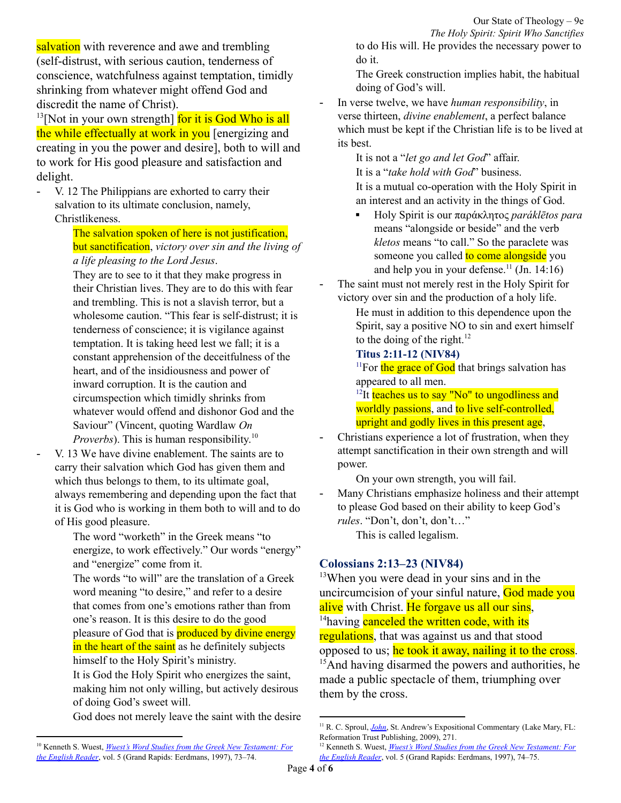salvation with reverence and awe and trembling (self-distrust, with serious caution, tenderness of conscience, watchfulness against temptation, timidly shrinking from whatever might offend God and discredit the name of Christ).

<sup>13</sup>[Not in your own strength] for it is God Who is all the while effectually at work in you [energizing and creating in you the power and desire], both to will and to work for His good pleasure and satisfaction and delight.

V. 12 The Philippians are exhorted to carry their salvation to its ultimate conclusion, namely, Christlikeness.

> The salvation spoken of here is not justification, but sanctification, *victory over sin and the living of a life pleasing to the Lord Jesus*.

They are to see to it that they make progress in their Christian lives. They are to do this with fear and trembling. This is not a slavish terror, but a wholesome caution. "This fear is self-distrust; it is tenderness of conscience; it is vigilance against temptation. It is taking heed lest we fall; it is a constant apprehension of the deceitfulness of the heart, and of the insidiousness and power of inward corruption. It is the caution and circumspection which timidly shrinks from whatever would offend and dishonor God and the Saviour" (Vincent, quoting Wardlaw *On Proverbs*). This is human responsibility. 10

V. 13 We have divine enablement. The saints are to carry their salvation which God has given them and which thus belongs to them, to its ultimate goal, always remembering and depending upon the fact that it is God who is working in them both to will and to do of His good pleasure.

> The word "worketh" in the Greek means "to energize, to work effectively." Our words "energy" and "energize" come from it.

The words "to will" are the translation of a Greek word meaning "to desire," and refer to a desire that comes from one's emotions rather than from one's reason. It is this desire to do the good pleasure of God that is **produced by divine energy** in the heart of the saint as he definitely subjects himself to the Holy Spirit's ministry.

It is God the Holy Spirit who energizes the saint, making him not only willing, but actively desirous of doing God's sweet will.

God does not merely leave the saint with the desire

Our State of Theology – 9e *The Holy Spirit: Spirit Who Sanctifies* to do His will. He provides the necessary power to do it.

The Greek construction implies habit, the habitual doing of God's will.

- In verse twelve, we have *human responsibility*, in verse thirteen, *divine enablement*, a perfect balance which must be kept if the Christian life is to be lived at its best.

> It is not a "*let go and let God*" affair. It is a "*take hold with God*" business. It is a mutual co-operation with the Holy Spirit in an interest and an activity in the things of God.

- Holy Spirit is our παράκλητος *paráklētos para* means "alongside or beside" and the verb *kletos* means "to call." So the paraclete was someone you called to come alongside you and help you in your defense.<sup>11</sup> (Jn. 14:16)
- The saint must not merely rest in the Holy Spirit for victory over sin and the production of a holy life.

He must in addition to this dependence upon the Spirit, say a positive NO to sin and exert himself to the doing of the right. $^{12}$ 

**Titus 2:11-12 (NIV84)**

 $11$ For the grace of God that brings salvation has appeared to all men.

<sup>12</sup>It teaches us to say "No" to ungodliness and worldly passions, and to live self-controlled, upright and godly lives in this present age.

Christians experience a lot of frustration, when they attempt sanctification in their own strength and will power.

On your own strength, you will fail.

Many Christians emphasize holiness and their attempt to please God based on their ability to keep God's *rules*. "Don't, don't, don't…"

This is called legalism.

## **Colossians 2:13–23 (NIV84)**

<sup>13</sup>When you were dead in your sins and in the uncircumcision of your sinful nature, God made you alive with Christ. He forgave us all our sins, <sup>14</sup> having **canceled the written code**, with its regulations, that was against us and that stood opposed to us; he took it away, nailing it to the cross. <sup>15</sup>And having disarmed the powers and authorities, he made a public spectacle of them, triumphing over them by the cross.

<sup>10</sup> Kenneth S. Wuest, *Wuest's Word Studies from the Greek New [Testament:](https://ref.ly/logosres/wuest?ref=Bible.Php2.12&off=2350&ctx=ay+it+is+used+here.+~The+Philippians+are+) For the [English](https://ref.ly/logosres/wuest?ref=Bible.Php2.12&off=2350&ctx=ay+it+is+used+here.+~The+Philippians+are+) Reader*, vol. 5 (Grand Rapids: Eerdmans, 1997), 73–74.

<sup>&</sup>lt;sup>11</sup> R. C. Sproul, *[John](https://ref.ly/logosres/johnsproul?ref=Bible.Jn14.12-17&off=11468&ctx=raclete.+The+prefix+~para+means+%E2%80%9Calongsid)*, St. Andrew's Expositional Commentary (Lake Mary, FL: Reformation Trust Publishing, 2009), 271.

<sup>12</sup> Kenneth S. Wuest, *Wuest's Word Studies from the Greek New [Testament:](https://ref.ly/logosres/wuest?ref=Bible.Php2.12&off=3338&ctx=.%0aIn+verse+thirteen+~we+have+divine+enabl) For the [English](https://ref.ly/logosres/wuest?ref=Bible.Php2.12&off=3338&ctx=.%0aIn+verse+thirteen+~we+have+divine+enabl) Reader*, vol. 5 (Grand Rapids: Eerdmans, 1997), 74–75.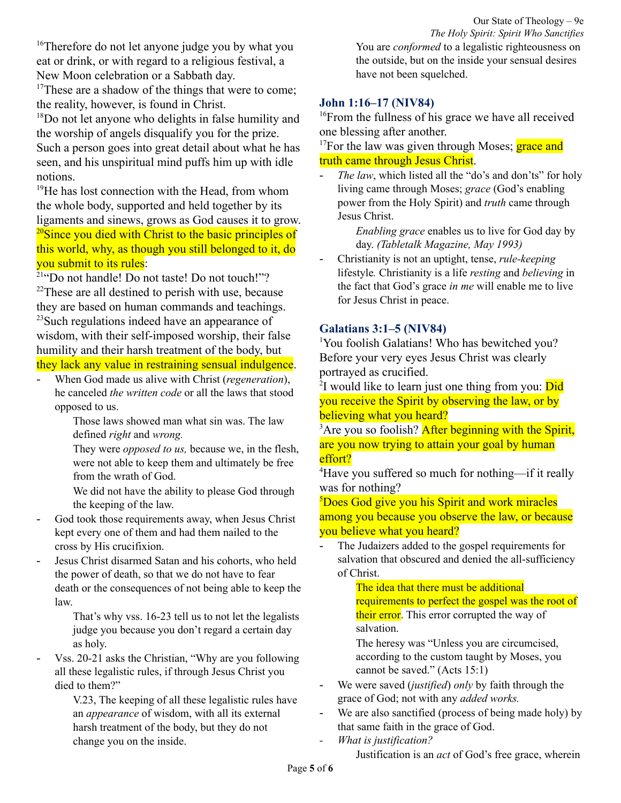<sup>16</sup>Therefore do not let anyone judge you by what you eat or drink, or with regard to a religious festival, a New Moon celebration or a Sabbath day.

 $17$ These are a shadow of the things that were to come; the reality, however, is found in Christ.

<sup>18</sup>Do not let anyone who delights in false humility and the worship of angels disqualify you for the prize. Such a person goes into great detail about what he has seen, and his unspiritual mind puffs him up with idle notions.

<sup>19</sup>He has lost connection with the Head, from whom the whole body, supported and held together by its ligaments and sinews, grows as God causes it to grow. <sup>20</sup>Since you died with Christ to the basic principles of this world, why, as though you still belonged to it, do you submit to its rules:

<sup>21</sup>"Do not handle! Do not taste! Do not touch!"?  $22$ These are all destined to perish with use, because they are based on human commands and teachings. <sup>23</sup>Such regulations indeed have an appearance of wisdom, with their self-imposed worship, their false humility and their harsh treatment of the body, but they lack any value in restraining sensual indulgence.

- When God made us alive with Christ (*regeneration*), he canceled *the written code* or all the laws that stood opposed to us.

> Those laws showed man what sin was. The law defined *right* and *wrong.*

They were *opposed to us,* because we, in the flesh, were not able to keep them and ultimately be free from the wrath of God.

We did not have the ability to please God through the keeping of the law.

- God took those requirements away, when Jesus Christ kept every one of them and had them nailed to the cross by His crucifixion.
- Jesus Christ disarmed Satan and his cohorts, who held the power of death, so that we do not have to fear death or the consequences of not being able to keep the law.

That's why vss. 16-23 tell us to not let the legalists judge you because you don't regard a certain day as holy.

- Vss. 20-21 asks the Christian, "Why are you following all these legalistic rules, if through Jesus Christ you died to them?"

> V.23, The keeping of all these legalistic rules have an *appearance* of wisdom, with all its external harsh treatment of the body, but they do not change you on the inside.

Our State of Theology – 9e *The Holy Spirit: Spirit Who Sanctifies* You are *conformed* to a legalistic righteousness on the outside, but on the inside your sensual desires have not been squelched.

## **John 1:16–17 (NIV84)**

<sup>16</sup>From the fullness of his grace we have all received one blessing after another.

 $17$ For the law was given through Moses; grace and truth came through Jesus Christ.

- *The law*, which listed all the "do's and don'ts" for holy living came through Moses; *grace* (God's enabling power from the Holy Spirit) and *truth* came through Jesus Christ.

> *Enabling grace* enables us to live for God day by day. *(Tabletalk Magazine, May 1993)*

- Christianity is not an uptight, tense, *rule-keeping* lifestyle*.* Christianity is a life *resting* and *believing* in the fact that God's grace *in me* will enable me to live for Jesus Christ in peace.

## **Galatians 3:1–5 (NIV84)**

<sup>1</sup>You foolish Galatians! Who has bewitched you? Before your very eyes Jesus Christ was clearly portrayed as crucified.

<sup>2</sup>I would like to learn just one thing from you: Did you receive the Spirit by observing the law, or by believing what you heard?

<sup>3</sup>Are you so foolish? After beginning with the Spirit, are you now trying to attain your goal by human effort?

<sup>4</sup>Have you suffered so much for nothing—if it really was for nothing?

<sup>5</sup>Does God give you his Spirit and work miracles among you because you observe the law, or because you believe what you heard?

The Judaizers added to the gospel requirements for salvation that obscured and denied the all-sufficiency of Christ.

> The idea that there must be additional requirements to perfect the gospel was the root of their error. This error corrupted the way of salvation.

The heresy was "Unless you are circumcised, according to the custom taught by Moses, you cannot be saved." (Acts 15:1)

- We were saved *(justified) only* by faith through the grace of God; not with any *added works.*
- We are also sanctified (process of being made holy) by that same faith in the grace of God.
- *- What is justification?*

Justification is an *act* of God's free grace, wherein